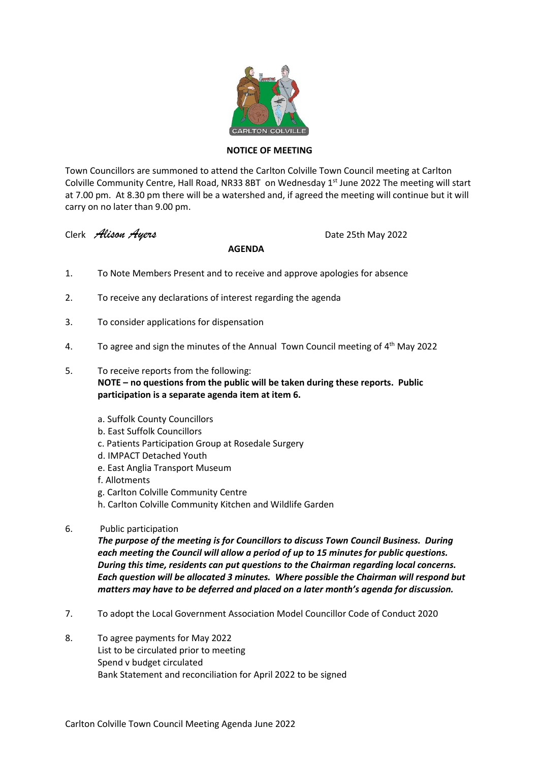

## **NOTICE OF MEETING**

Town Councillors are summoned to attend the Carlton Colville Town Council meeting at Carlton Colville Community Centre, Hall Road, NR33 8BT on Wednesday 1<sup>st</sup> June 2022 The meeting will start at 7.00 pm. At 8.30 pm there will be a watershed and, if agreed the meeting will continue but it will carry on no later than 9.00 pm.

Clerk *Alison Ayers* Date 25th May 2022

## **AGENDA**

- 1. To Note Members Present and to receive and approve apologies for absence
- 2. To receive any declarations of interest regarding the agenda
- 3. To consider applications for dispensation
- 4. To agree and sign the minutes of the Annual Town Council meeting of 4<sup>th</sup> May 2022
- 5. To receive reports from the following:

**NOTE – no questions from the public will be taken during these reports. Public participation is a separate agenda item at item 6.**

- a. Suffolk County Councillors
- b. East Suffolk Councillors
- c. Patients Participation Group at Rosedale Surgery
- d. IMPACT Detached Youth
- e. East Anglia Transport Museum
- f. Allotments
- g. Carlton Colville Community Centre
- h. Carlton Colville Community Kitchen and Wildlife Garden
- 6. Public participation

*The purpose of the meeting is for Councillors to discuss Town Council Business. During each meeting the Council will allow a period of up to 15 minutes for public questions. During this time, residents can put questions to the Chairman regarding local concerns. Each question will be allocated 3 minutes. Where possible the Chairman will respond but matters may have to be deferred and placed on a later month's agenda for discussion.*

- 7. To adopt the Local Government Association Model Councillor Code of Conduct 2020
- 8. To agree payments for May 2022 List to be circulated prior to meeting Spend v budget circulated Bank Statement and reconciliation for April 2022 to be signed